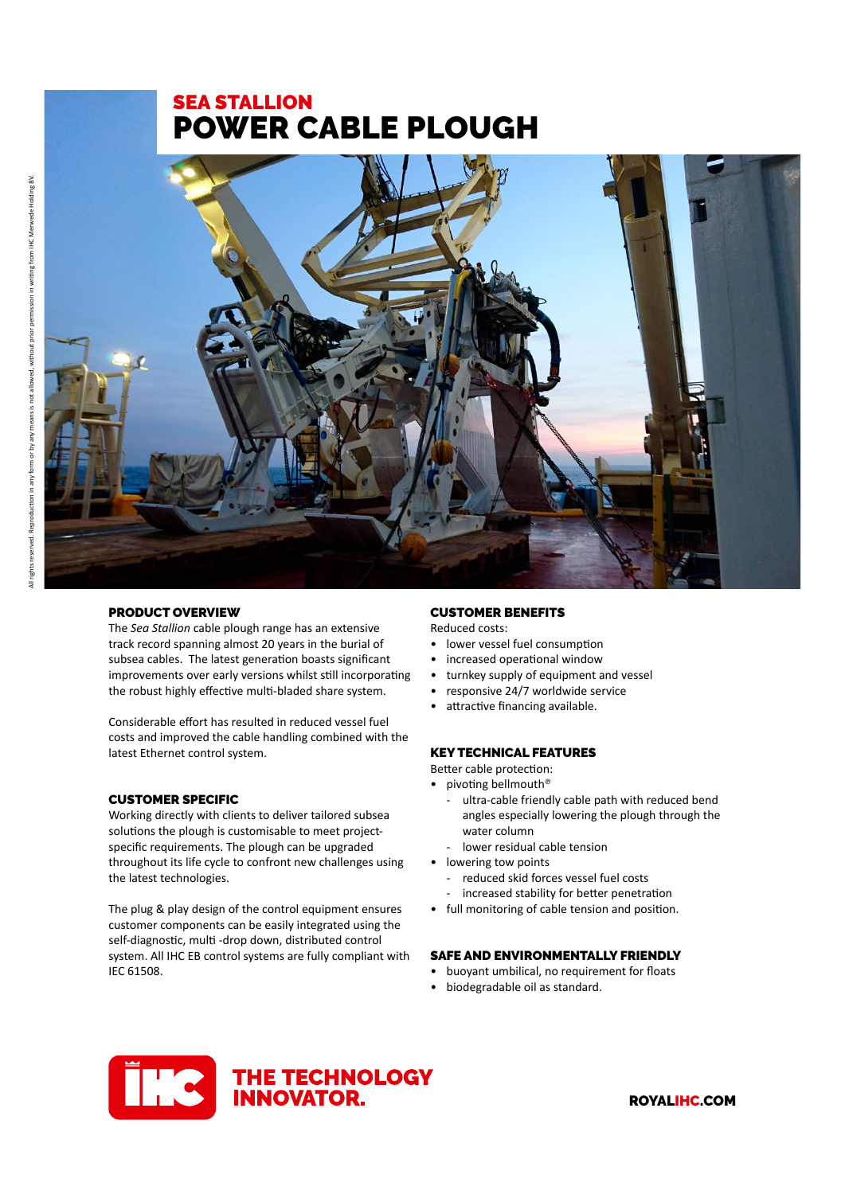# SEA STALLION POWER CABLE PLOUGH



# PRODUCT OVERVIEW

The *Sea Stallion* cable plough range has an extensive track record spanning almost 20 years in the burial of subsea cables. The latest generation boasts significant improvements over early versions whilst still incorporating the robust highly effective multi-bladed share system.

Considerable effort has resulted in reduced vessel fuel costs and improved the cable handling combined with the latest Ethernet control system.

## CUSTOMER SPECIFIC

Working directly with clients to deliver tailored subsea solutions the plough is customisable to meet projectspecific requirements. The plough can be upgraded throughout its life cycle to confront new challenges using the latest technologies.

The plug & play design of the control equipment ensures customer components can be easily integrated using the self-diagnostic, multi -drop down, distributed control system. All IHC EB control systems are fully compliant with IEC 61508.

## CUSTOMER BENEFITS

Reduced costs:

- lower vessel fuel consumption
- increased operational window
- turnkey supply of equipment and vessel
- responsive 24/7 worldwide service
- attractive financing available.

#### KEY TECHNICAL FEATURES

Better cable protection:

- pivoting bellmouth<sup>®</sup>
	- ultra-cable friendly cable path with reduced bend angles especially lowering the plough through the water column
	- lower residual cable tension
- lowering tow points
	- reduced skid forces vessel fuel costs
	- increased stability for better penetration
- full monitoring of cable tension and position.

#### SAFE AND ENVIRONMENTALLY FRIENDLY

- buoyant umbilical, no requirement for floats
- biodegradable oil as standard.